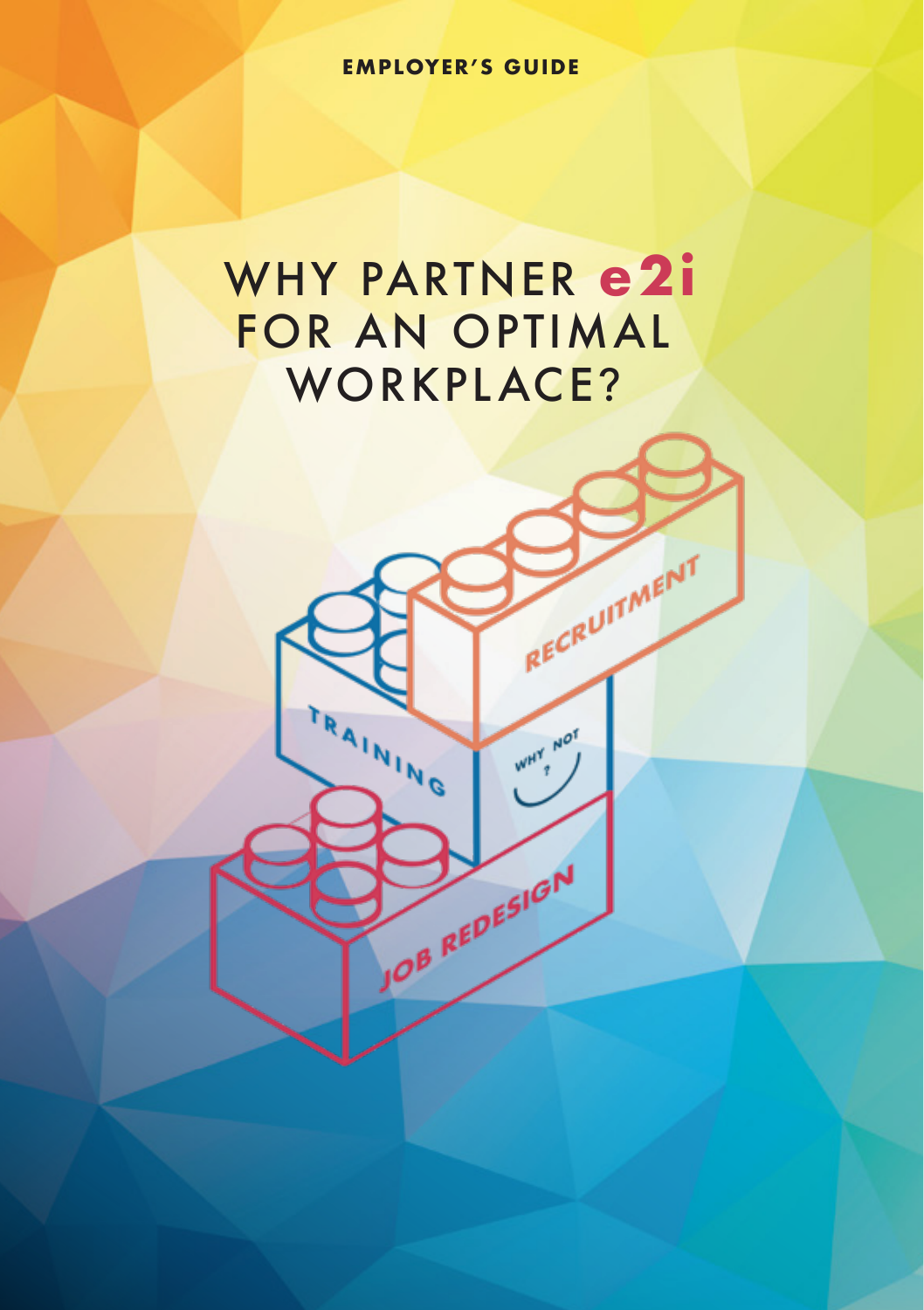**EMPLOYER'S GUIDE**

# WHY PARTNER **e2i** FOR AN OPTIMAL WORKPLACE?

RAINING

RECRUITMENT

WHY NOT

JOB REDESIGN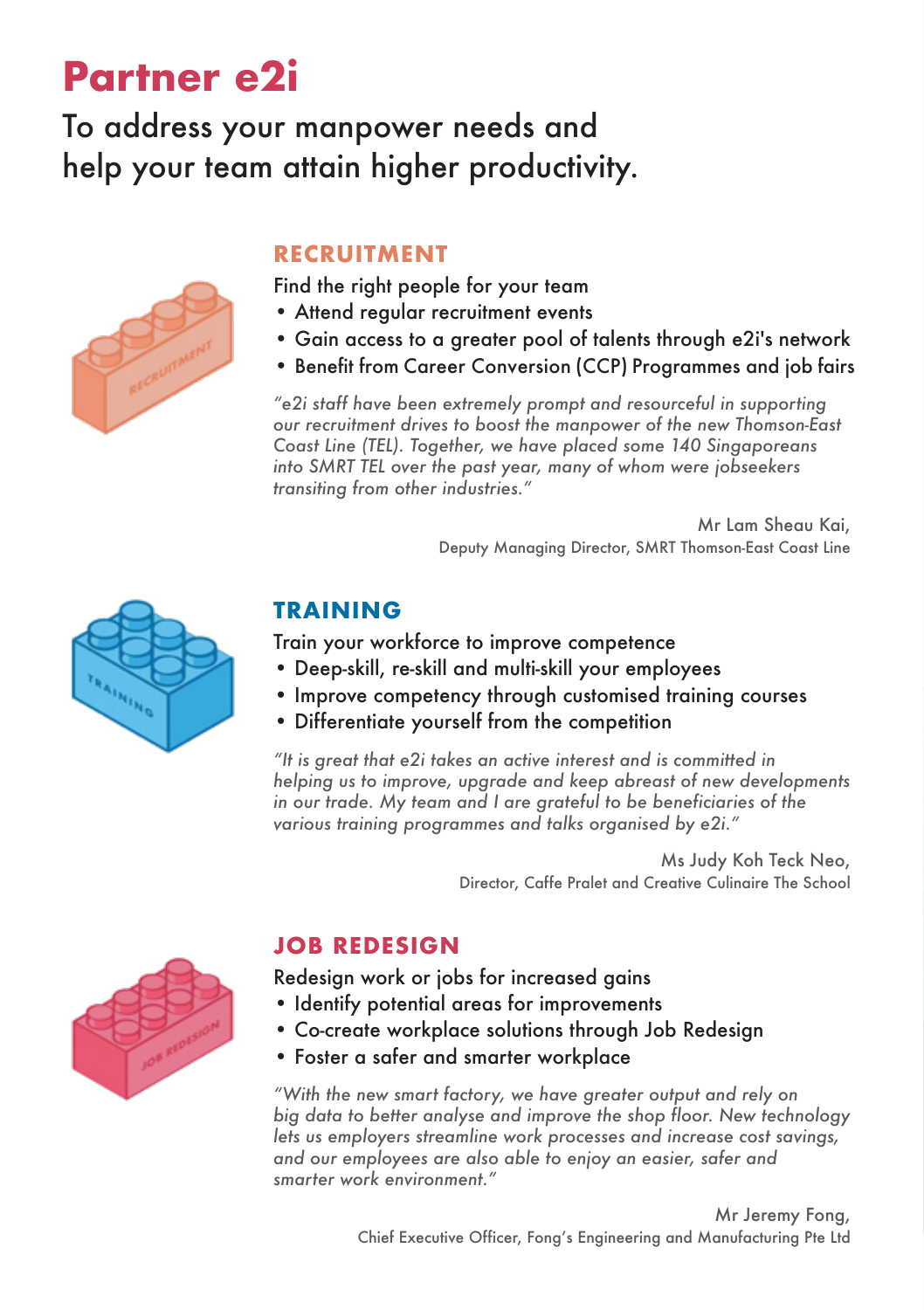# **Partner e2i**

### To address your manpower needs and help your team attain higher productivity.



#### **RECRUITMENT**

Find the right people for your team

- Attend regular recruitment events
- Gain access to a greater pool of talents through e2i's network
- Benefit from Career Conversion (CCP) Programmes and job fairs

*"e2i staff have been extremely prompt and resourceful in supporting our recruitment drives to boost the manpower of the new Thomson-East Coast Line (TEL). Together, we have placed some 140 Singaporeans into SMRT TEL over the past year, many of whom were jobseekers transiting from other industries."*

> Mr Lam Sheau Kai, Deputy Managing Director, SMRT Thomson-East Coast Line



#### **TRAINING**

Train your workforce to improve competence

- Deep-skill, re-skill and multi-skill your employees
- Improve competency through customised training courses
- Differentiate yourself from the competition

*"It is great that e2i takes an active interest and is committed in helping us to improve, upgrade and keep abreast of new developments in our trade. My team and I are grateful to be beneficiaries of the various training programmes and talks organised by e2i."*

> Ms Judy Koh Teck Neo, Director, Caffe Pralet and Creative Culinaire The School

#### **JOB REDESIGN**

Redesign work or jobs for increased gains

- Identify potential areas for improvements
- Co-create workplace solutions through Job Redesign
- Foster a safer and smarter workplace

*"With the new smart factory, we have greater output and rely on big data to better analyse and improve the shop floor. New technology lets us employers streamline work processes and increase cost savings, and our employees are also able to enjoy an easier, safer and smarter work environment."*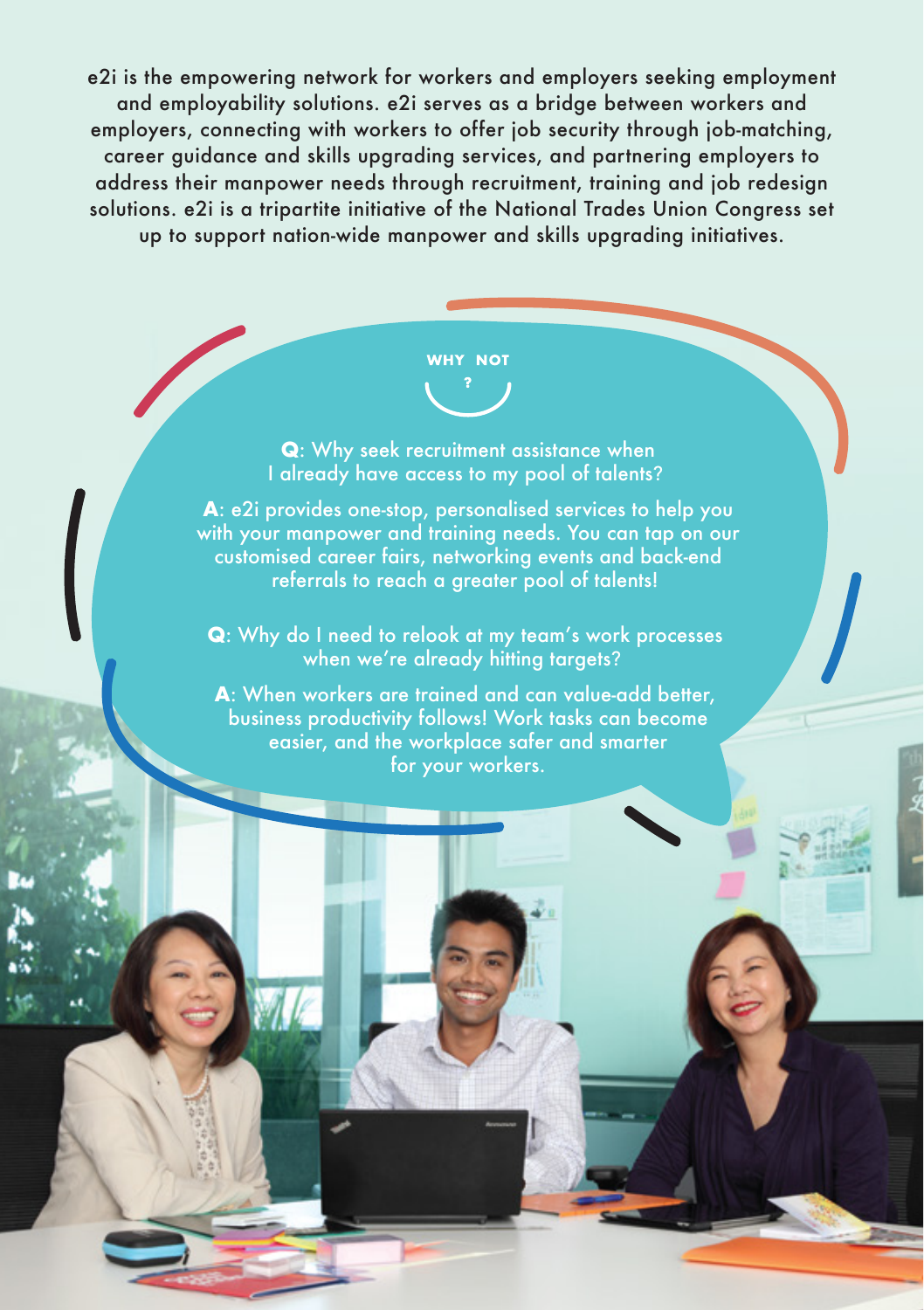e2i is the empowering network for workers and employers seeking employment and employability solutions. e2i serves as a bridge between workers and employers, connecting with workers to offer job security through job-matching, career guidance and skills upgrading services, and partnering employers to address their manpower needs through recruitment, training and job redesign solutions. e2i is a tripartite initiative of the National Trades Union Congress set up to support nation-wide manpower and skills upgrading initiatives.

# **WHY NOT**

**Q**: Why seek recruitment assistance when I already have access to my pool of talents?

**A**: e2i provides one-stop, personalised services to help you with your manpower and training needs. You can tap on our customised career fairs, networking events and back-end referrals to reach a greater pool of talents!

**Q**: Why do I need to relook at my team's work processes when we're already hitting targets?

**A**: When workers are trained and can value-add better, business productivity follows! Work tasks can become easier, and the workplace safer and smarter for your workers.